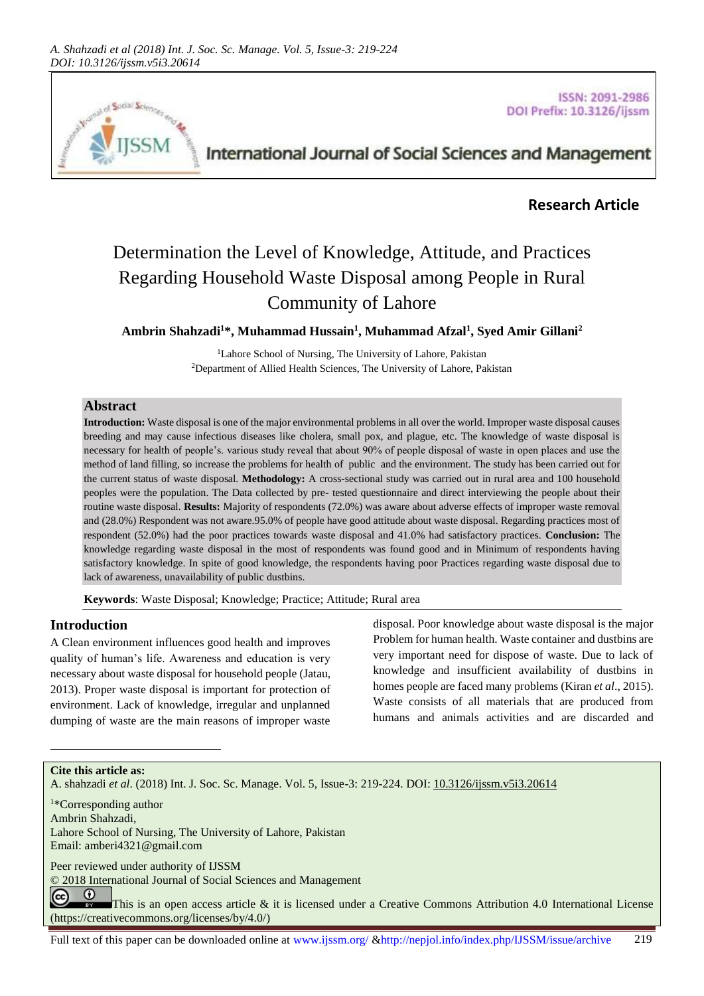

**ISSN: 2091-2986** DOI Prefix: 10.3126/ijssm

# International Journal of Social Sciences and Management

# **Research Article**

# Determination the Level of Knowledge, Attitude, and Practices Regarding Household Waste Disposal among People in Rural Community of Lahore

**Ambrin Shahzadi<sup>1</sup>\*, Muhammad Hussain<sup>1</sup> , Muhammad Afzal<sup>1</sup> , Syed Amir Gillani<sup>2</sup>**

<sup>1</sup>Lahore School of Nursing, The University of Lahore, Pakistan <sup>2</sup>Department of Allied Health Sciences, The University of Lahore, Pakistan

## **Abstract**

**Introduction:** Waste disposal is one of the major environmental problems in all over the world. Improper waste disposal causes breeding and may cause infectious diseases like cholera, small pox, and plague, etc. The knowledge of waste disposal is necessary for health of people's. various study reveal that about 90% of people disposal of waste in open places and use the method of land filling, so increase the problems for health of public and the environment. The study has been carried out for the current status of waste disposal. **Methodology:** A cross-sectional study was carried out in rural area and 100 household peoples were the population. The Data collected by pre- tested questionnaire and direct interviewing the people about their routine waste disposal. **Results:** Majority of respondents (72.0%) was aware about adverse effects of improper waste removal and (28.0%) Respondent was not aware.95.0% of people have good attitude about waste disposal. Regarding practices most of respondent (52.0%) had the poor practices towards waste disposal and 41.0% had satisfactory practices. **Conclusion:** The knowledge regarding waste disposal in the most of respondents was found good and in Minimum of respondents having satisfactory knowledge. In spite of good knowledge, the respondents having poor Practices regarding waste disposal due to lack of awareness, unavailability of public dustbins.

**Keywords**: Waste Disposal; Knowledge; Practice; Attitude; Rural area

## **Introduction**

A Clean environment influences good health and improves quality of human's life. Awareness and education is very necessary about waste disposal for household people (Jatau, 2013). Proper waste disposal is important for protection of environment. Lack of knowledge, irregular and unplanned dumping of waste are the main reasons of improper waste

disposal. Poor knowledge about waste disposal is the major Problem for human health. Waste container and dustbins are very important need for dispose of waste. Due to lack of knowledge and insufficient availability of dustbins in homes people are faced many problems (Kiran *et al*., 2015). Waste consists of all materials that are produced from humans and animals activities and are discarded and

**Cite this article as:**

l

A. shahzadi *et al*. (2018) Int. J. Soc. Sc. Manage. Vol. 5, Issue-3: 219-224. DOI[: 10.3126/ijssm.v5i3.20614](http://dx.doi.org/10.3126/ijssm.v5i3.20614)

<sup>1</sup>\*Corresponding author Ambrin Shahzadi, Lahore School of Nursing, The University of Lahore, Pakistan Email[: amberi4321@gmail.com](mailto:amberi4321@gmail.com)

Peer reviewed under authority of IJSSM

© 2018 International Journal of Social Sciences and Management

 $\odot$ (cc) This is an open access article & it is licensed under a Creative Commons Attribution 4.0 International License [\(https://creativecommons.org/licenses/by/4.0/\)](https://creativecommons.org/licenses/by/4.0/)

Full text of this paper can be downloaded online at www.ijssm.org/ &http://nepjol.info/index.php/IJSSM/issue/archive 219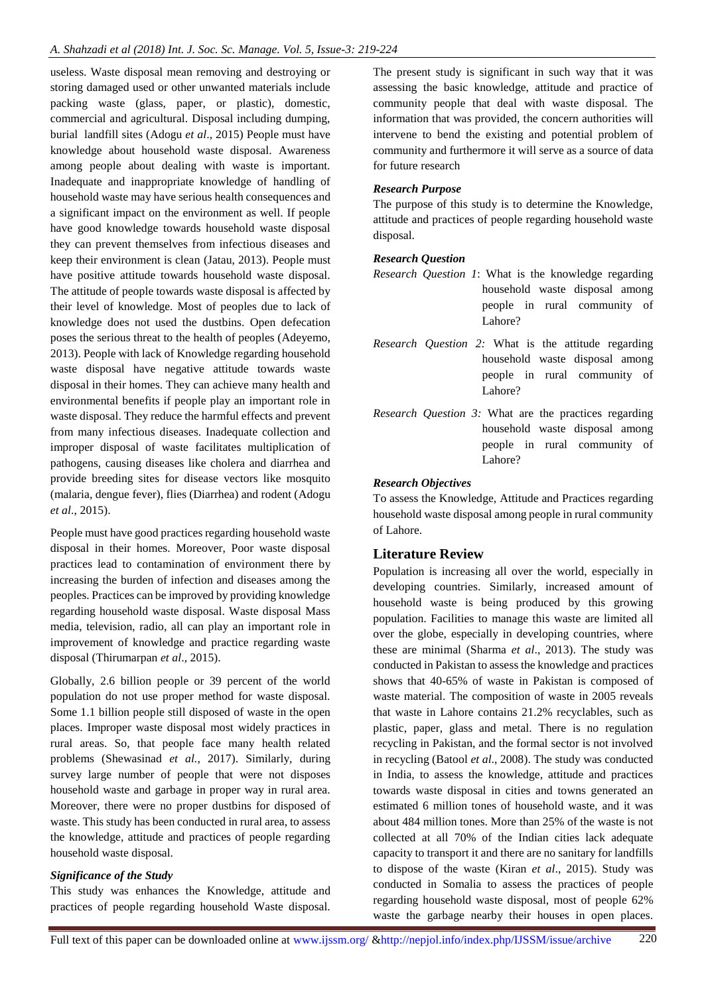useless. Waste disposal mean removing and destroying or storing damaged used or other unwanted materials include packing waste (glass, paper, or plastic), domestic, commercial and agricultural. Disposal including dumping, burial landfill sites (Adogu *et al*., 2015) People must have knowledge about household waste disposal. Awareness among people about dealing with waste is important. Inadequate and inappropriate knowledge of handling of household waste may have serious health consequences and a significant impact on the environment as well. If people have good knowledge towards household waste disposal they can prevent themselves from infectious diseases and keep their environment is clean (Jatau, 2013). People must have positive attitude towards household waste disposal. The attitude of people towards waste disposal is affected by their level of knowledge. Most of peoples due to lack of knowledge does not used the dustbins. Open defecation poses the serious threat to the health of peoples (Adeyemo, 2013). People with lack of Knowledge regarding household waste disposal have negative attitude towards waste disposal in their homes. They can achieve many health and environmental benefits if people play an important role in waste disposal. They reduce the harmful effects and prevent from many infectious diseases. Inadequate collection and improper disposal of waste facilitates multiplication of pathogens, causing diseases like cholera and diarrhea and provide breeding sites for disease vectors like mosquito (malaria, dengue fever), flies (Diarrhea) and rodent (Adogu *et al*., 2015).

People must have good practices regarding household waste disposal in their homes. Moreover, Poor waste disposal practices lead to contamination of environment there by increasing the burden of infection and diseases among the peoples. Practices can be improved by providing knowledge regarding household waste disposal. Waste disposal Mass media, television, radio, all can play an important role in improvement of knowledge and practice regarding waste disposal (Thirumarpan *et al*., 2015).

Globally, 2.6 billion people or 39 percent of the world population do not use proper method for waste disposal. Some 1.1 billion people still disposed of waste in the open places. Improper waste disposal most widely practices in rural areas. So, that people face many health related problems (Shewasinad *et al.*, 2017). Similarly, during survey large number of people that were not disposes household waste and garbage in proper way in rural area. Moreover, there were no proper dustbins for disposed of waste. This study has been conducted in rural area, to assess the knowledge, attitude and practices of people regarding household waste disposal.

## *Significance of the Study*

This study was enhances the Knowledge, attitude and practices of people regarding household Waste disposal. The present study is significant in such way that it was assessing the basic knowledge, attitude and practice of community people that deal with waste disposal. The information that was provided, the concern authorities will intervene to bend the existing and potential problem of community and furthermore it will serve as a source of data for future research

## *Research Purpose*

The purpose of this study is to determine the Knowledge, attitude and practices of people regarding household waste disposal.

#### *Research Question*

- *Research Question 1*: What is the knowledge regarding household waste disposal among people in rural community of Lahore?
- *Research Question 2:* What is the attitude regarding household waste disposal among people in rural community of Lahore?
- *Research Question 3:* What are the practices regarding household waste disposal among people in rural community of Lahore?

## *Research Objectives*

To assess the Knowledge, Attitude and Practices regarding household waste disposal among people in rural community of Lahore.

# **Literature Review**

Population is increasing all over the world, especially in developing countries. Similarly, increased amount of household waste is being produced by this growing population. Facilities to manage this waste are limited all over the globe, especially in developing countries, where these are minimal (Sharma *et al*., 2013). The study was conducted in Pakistan to assess the knowledge and practices shows that 40-65% of waste in Pakistan is composed of waste material. The composition of waste in 2005 reveals that waste in Lahore contains 21.2% recyclables, such as plastic, paper, glass and metal. There is no regulation recycling in Pakistan, and the formal sector is not involved in recycling (Batool *et al*., 2008). The study was conducted in India, to assess the knowledge, attitude and practices towards waste disposal in cities and towns generated an estimated 6 million tones of household waste, and it was about 484 million tones. More than 25% of the waste is not collected at all 70% of the Indian cities lack adequate capacity to transport it and there are no sanitary for landfills to dispose of the waste (Kiran *et al*., 2015). Study was conducted in Somalia to assess the practices of people regarding household waste disposal, most of people 62% waste the garbage nearby their houses in open places.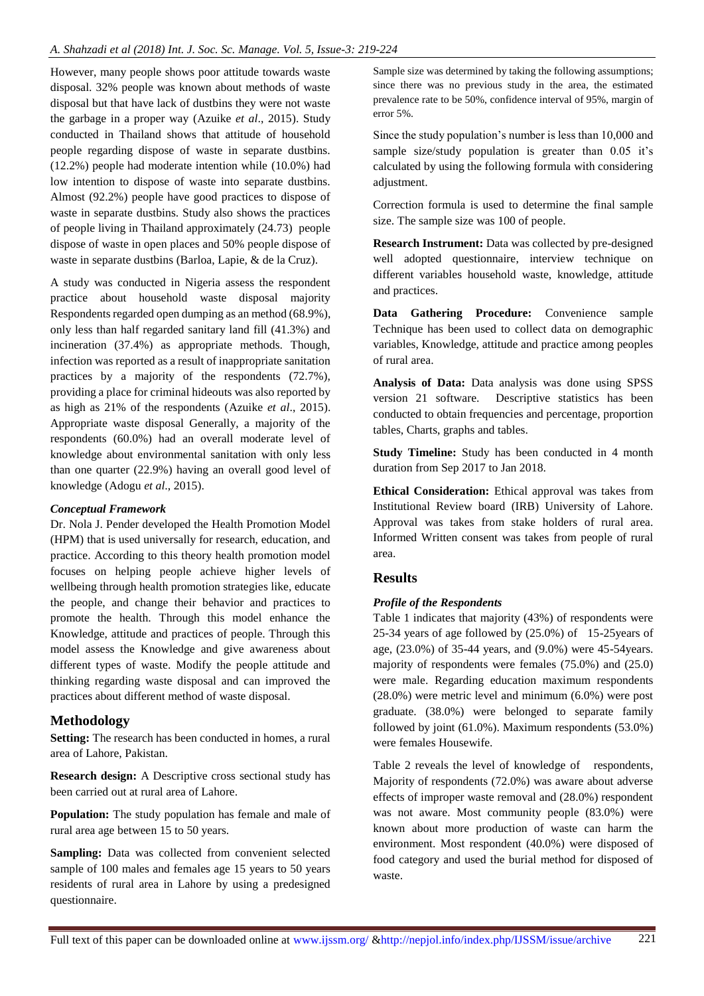However, many people shows poor attitude towards waste disposal. 32% people was known about methods of waste disposal but that have lack of dustbins they were not waste the garbage in a proper way (Azuike *et al*., 2015). Study conducted in Thailand shows that attitude of household people regarding dispose of waste in separate dustbins. (12.2%) people had moderate intention while (10.0%) had low intention to dispose of waste into separate dustbins. Almost (92.2%) people have good practices to dispose of waste in separate dustbins. Study also shows the practices of people living in Thailand approximately (24.73) people dispose of waste in open places and 50% people dispose of waste in separate dustbins (Barloa, Lapie, & de la Cruz).

A study was conducted in Nigeria assess the respondent practice about household waste disposal majority Respondents regarded open dumping as an method (68.9%), only less than half regarded sanitary land fill (41.3%) and incineration (37.4%) as appropriate methods. Though, infection was reported as a result of inappropriate sanitation practices by a majority of the respondents (72.7%), providing a place for criminal hideouts was also reported by as high as 21% of the respondents (Azuike *et al*., 2015). Appropriate waste disposal Generally, a majority of the respondents (60.0%) had an overall moderate level of knowledge about environmental sanitation with only less than one quarter (22.9%) having an overall good level of knowledge (Adogu *et al*., 2015).

#### *Conceptual Framework*

Dr. Nola J. Pender developed the Health Promotion Model (HPM) that is used universally for research, education, and practice. According to this theory health promotion model focuses on helping people achieve higher levels of wellbeing through health promotion strategies like, educate the people, and change their behavior and practices to promote the health. Through this model enhance the Knowledge, attitude and practices of people. Through this model assess the Knowledge and give awareness about different types of waste. Modify the people attitude and thinking regarding waste disposal and can improved the practices about different method of waste disposal.

## **Methodology**

**Setting:** The research has been conducted in homes, a rural area of Lahore, Pakistan.

**Research design:** A Descriptive cross sectional study has been carried out at rural area of Lahore.

**Population:** The study population has female and male of rural area age between 15 to 50 years.

**Sampling:** Data was collected from convenient selected sample of 100 males and females age 15 years to 50 years residents of rural area in Lahore by using a predesigned questionnaire.

Sample size was determined by taking the following assumptions; since there was no previous study in the area, the estimated prevalence rate to be 50%, confidence interval of 95%, margin of error 5%.

Since the study population's number is less than 10,000 and sample size/study population is greater than 0.05 it's calculated by using the following formula with considering adjustment.

Correction formula is used to determine the final sample size. The sample size was 100 of people.

**Research Instrument:** Data was collected by pre-designed well adopted questionnaire, interview technique on different variables household waste, knowledge, attitude and practices.

**Data Gathering Procedure:** Convenience sample Technique has been used to collect data on demographic variables, Knowledge, attitude and practice among peoples of rural area.

**Analysis of Data:** Data analysis was done using SPSS version 21 software. Descriptive statistics has been conducted to obtain frequencies and percentage, proportion tables, Charts, graphs and tables.

**Study Timeline:** Study has been conducted in 4 month duration from Sep 2017 to Jan 2018.

**Ethical Consideration:** Ethical approval was takes from Institutional Review board (IRB) University of Lahore. Approval was takes from stake holders of rural area. Informed Written consent was takes from people of rural area.

# **Results**

## *Profile of the Respondents*

Table 1 indicates that majority (43%) of respondents were 25-34 years of age followed by (25.0%) of 15-25years of age, (23.0%) of 35-44 years, and (9.0%) were 45-54years. majority of respondents were females (75.0%) and (25.0) were male. Regarding education maximum respondents (28.0%) were metric level and minimum (6.0%) were post graduate. (38.0%) were belonged to separate family followed by joint (61.0%). Maximum respondents (53.0%) were females Housewife.

Table 2 reveals the level of knowledge of respondents, Majority of respondents (72.0%) was aware about adverse effects of improper waste removal and (28.0%) respondent was not aware. Most community people (83.0%) were known about more production of waste can harm the environment. Most respondent (40.0%) were disposed of food category and used the burial method for disposed of waste.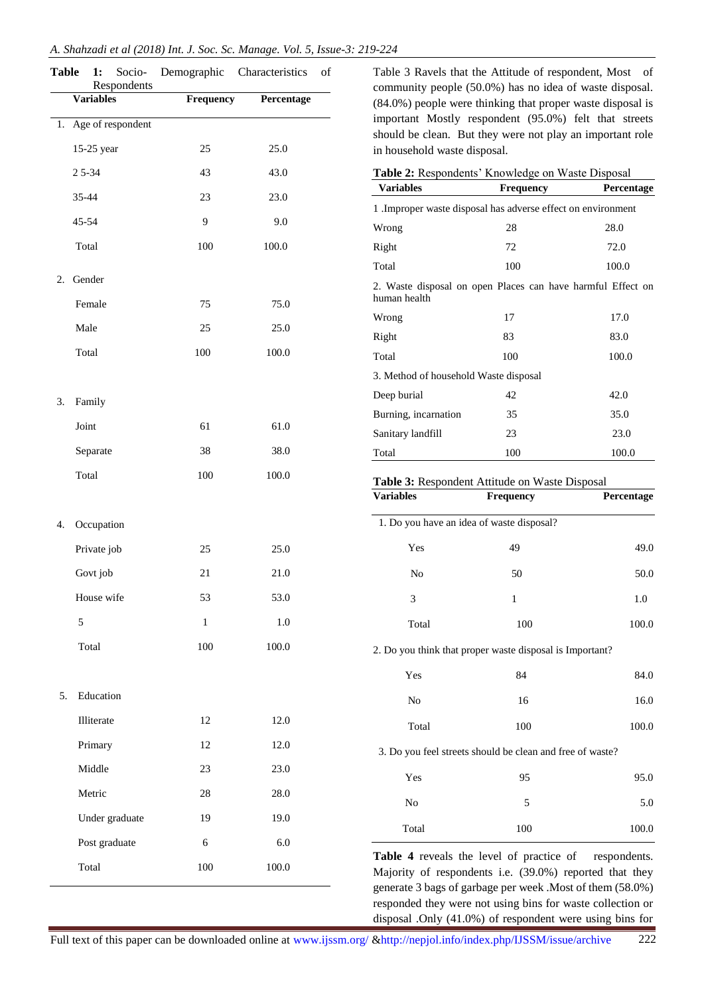|  | A. Shahzadi et al (2018) Int. J. Soc. Sc. Manage. Vol. 5, Issue-3: 219-224 |  |  |  |  |  |  |  |  |  |
|--|----------------------------------------------------------------------------|--|--|--|--|--|--|--|--|--|
|--|----------------------------------------------------------------------------|--|--|--|--|--|--|--|--|--|

| <b>Table</b> | Socio-<br>1:<br>Respondents | Demographic | Characteristics<br>οf |
|--------------|-----------------------------|-------------|-----------------------|
|              | <b>Variables</b>            | Frequency   | Percentage            |
| 1.           | Age of respondent           |             |                       |
|              | 15-25 year                  | 25          | 25.0                  |
|              | 25--34                      | 43          | 43.0                  |
|              | 35-44                       | 23          | 23.0                  |
|              | 45-54                       | 9           | 9.0                   |
|              | Total                       | 100         | 100.0                 |
| 2.           | Gender                      |             |                       |
|              | Female                      | 75          | 75.0                  |
|              | Male                        | 25          | 25.0                  |
|              | Total                       | 100         | 100.0                 |
| 3.           | Family                      |             |                       |
|              | Joint                       | 61          | 61.0                  |
|              | Separate                    | 38          | 38.0                  |
|              | Total                       | 100         | 100.0                 |
| 4.           | Occupation                  |             |                       |
|              | Private job                 | 25          | 25.0                  |
|              | Govt job                    | 21          | 21.0                  |
|              | House wife                  | 53          | 53.0                  |
|              | 5                           | $\,1$       | $1.0\,$               |
|              | Total                       | 100         | 100.0                 |
| 5.           | Education                   |             |                       |
|              | Illiterate                  | 12          | 12.0                  |
|              | Primary                     | 12          | 12.0                  |
|              | Middle                      | 23          | 23.0                  |
|              | Metric                      | 28          | 28.0                  |
|              | Under graduate              | 19          | 19.0                  |
|              | Post graduate               | 6           | 6.0                   |
|              | Total                       | 100         | 100.0                 |
|              |                             |             |                       |

Table 3 Ravels that the Attitude of respondent, Most of community people (50.0%) has no idea of waste disposal. (84.0%) people were thinking that proper waste disposal is important Mostly respondent (95.0%) felt that streets should be clean. But they were not play an important role in household waste disposal.

| Table 2: Respondents' Knowledge on Waste Disposal                           |                  |            |  |  |  |
|-----------------------------------------------------------------------------|------------------|------------|--|--|--|
| <b>Variables</b>                                                            | <b>Frequency</b> | Percentage |  |  |  |
| 1 .Improper waste disposal has adverse effect on environment                |                  |            |  |  |  |
| Wrong                                                                       | 28               | 28.0       |  |  |  |
| Right                                                                       | 72               | 72.0       |  |  |  |
| Total                                                                       | 100              | 100.0      |  |  |  |
| 2. Waste disposal on open Places can have harmful Effect on<br>human health |                  |            |  |  |  |
| Wrong                                                                       | 17               | 17.0       |  |  |  |
| Right                                                                       | 83               | 83.0       |  |  |  |
| Total                                                                       | 100              | 100.0      |  |  |  |
| 3. Method of household Waste disposal                                       |                  |            |  |  |  |
| Deep burial                                                                 | 42               | 42.0       |  |  |  |
| Burning, incarnation                                                        | 35               | 35.0       |  |  |  |
| Sanitary landfill                                                           | 23               | 23.0       |  |  |  |
| Total                                                                       | 100              | 100.0      |  |  |  |
| Table 3: Respondent Attitude on Waste Disposal                              |                  |            |  |  |  |
| <b>Variables</b>                                                            | <b>Frequency</b> | Percentage |  |  |  |
| 1. Do you have an idea of waste disposal?                                   |                  |            |  |  |  |
| Yes                                                                         | 49               | 49.0       |  |  |  |
| No                                                                          | 50               | 50.0       |  |  |  |
| 3                                                                           | 1                | 1.0        |  |  |  |
| Total                                                                       | 100              | 100.0      |  |  |  |

2. Do you think that proper waste disposal is Important?

| Yes   | 84  | 84.0  |
|-------|-----|-------|
| No    | 16  | 16.0  |
| Total | 100 | 100.0 |

3. Do you feel streets should be clean and free of waste?

| No<br>5<br>Total<br>100 | 5.0<br>100.0 |
|-------------------------|--------------|

Table 4 reveals the level of practice of respondents. Majority of respondents i.e. (39.0%) reported that they generate 3 bags of garbage per week .Most of them (58.0%) responded they were not using bins for waste collection or disposal .Only (41.0%) of respondent were using bins for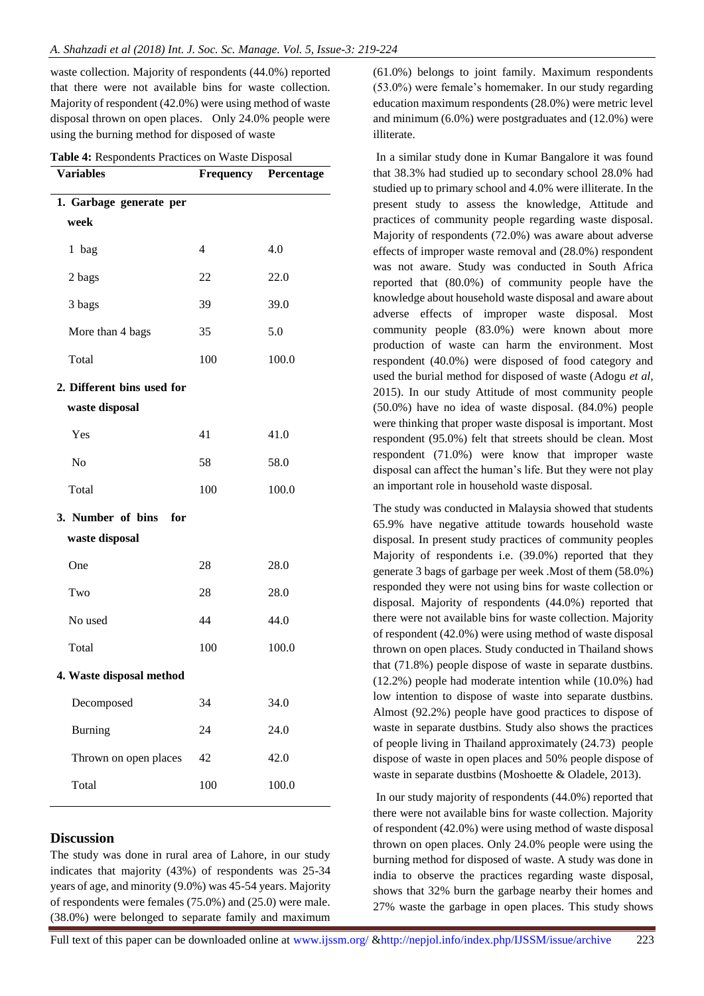waste collection. Majority of respondents (44.0%) reported that there were not available bins for waste collection. Majority of respondent (42.0%) were using method of waste disposal thrown on open places. Only 24.0% people were using the burning method for disposed of waste

| <b>Variables</b>           | Frequency | Percentage |  |  |
|----------------------------|-----------|------------|--|--|
| 1. Garbage generate per    |           |            |  |  |
| week                       |           |            |  |  |
| 1 bag                      | 4         | 4.0        |  |  |
| 2 bags                     | 22        | 22.0       |  |  |
| 3 bags                     | 39        | 39.0       |  |  |
| More than 4 bags           | 35        | 5.0        |  |  |
| Total                      | 100       | 100.0      |  |  |
| 2. Different bins used for |           |            |  |  |
| waste disposal             |           |            |  |  |
| Yes                        | 41        | 41.0       |  |  |
| N <sub>o</sub>             | 58        | 58.0       |  |  |
| Total                      | 100       | 100.0      |  |  |
| 3. Number of bins for      |           |            |  |  |
| waste disposal             |           |            |  |  |
| One                        | 28        | 28.0       |  |  |
| Two                        | 28        | 28.0       |  |  |
| No used                    | 44        | 44.0       |  |  |
| Total                      | 100       | 100.0      |  |  |
| 4. Waste disposal method   |           |            |  |  |
| Decomposed                 | 34        | 34.0       |  |  |
| <b>Burning</b>             | 24        | 24.0       |  |  |
| Thrown on open places      | 42        | 42.0       |  |  |
| Total                      | 100       | 100.0      |  |  |

## **Discussion**

The study was done in rural area of Lahore, in our study indicates that majority (43%) of respondents was 25-34 years of age, and minority (9.0%) was 45-54 years. Majority of respondents were females (75.0%) and (25.0) were male. (38.0%) were belonged to separate family and maximum

(61.0%) belongs to joint family. Maximum respondents (53.0%) were female's homemaker. In our study regarding education maximum respondents (28.0%) were metric level and minimum (6.0%) were postgraduates and (12.0%) were illiterate.

In a similar study done in Kumar Bangalore it was found that 38.3% had studied up to secondary school 28.0% had studied up to primary school and 4.0% were illiterate. In the present study to assess the knowledge, Attitude and practices of community people regarding waste disposal. Majority of respondents (72.0%) was aware about adverse effects of improper waste removal and (28.0%) respondent was not aware. Study was conducted in South Africa reported that (80.0%) of community people have the knowledge about household waste disposal and aware about adverse effects of improper waste disposal. Most community people (83.0%) were known about more production of waste can harm the environment. Most respondent (40.0%) were disposed of food category and used the burial method for disposed of waste (Adogu *et al*, 2015). In our study Attitude of most community people (50.0%) have no idea of waste disposal. (84.0%) people were thinking that proper waste disposal is important. Most respondent (95.0%) felt that streets should be clean. Most respondent (71.0%) were know that improper waste disposal can affect the human's life. But they were not play an important role in household waste disposal.

The study was conducted in Malaysia showed that students 65.9% have negative attitude towards household waste disposal. In present study practices of community peoples Majority of respondents i.e. (39.0%) reported that they generate 3 bags of garbage per week .Most of them (58.0%) responded they were not using bins for waste collection or disposal. Majority of respondents (44.0%) reported that there were not available bins for waste collection. Majority of respondent (42.0%) were using method of waste disposal thrown on open places. Study conducted in Thailand shows that (71.8%) people dispose of waste in separate dustbins. (12.2%) people had moderate intention while (10.0%) had low intention to dispose of waste into separate dustbins. Almost (92.2%) people have good practices to dispose of waste in separate dustbins. Study also shows the practices of people living in Thailand approximately (24.73) people dispose of waste in open places and 50% people dispose of waste in separate dustbins (Moshoette & Oladele, 2013).

In our study majority of respondents (44.0%) reported that there were not available bins for waste collection. Majority of respondent (42.0%) were using method of waste disposal thrown on open places. Only 24.0% people were using the burning method for disposed of waste. A study was done in india to observe the practices regarding waste disposal, shows that 32% burn the garbage nearby their homes and 27% waste the garbage in open places. This study shows